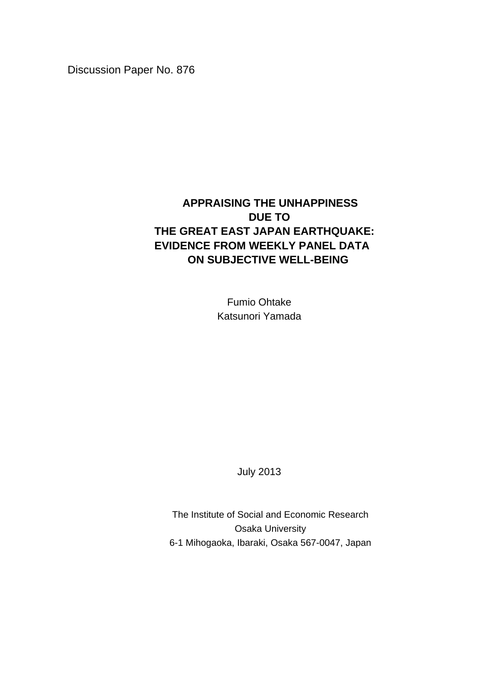Discussion Paper No. 876

# **APPRAISING THE UNHAPPINESS DUE TO THE GREAT EAST JAPAN EARTHQUAKE: EVIDENCE FROM WEEKLY PANEL DATA ON SUBJECTIVE WELL-BEING**

Fumio Ohtake Katsunori Yamada

July 2013

The Institute of Social and Economic Research Osaka University 6-1 Mihogaoka, Ibaraki, Osaka 567-0047, Japan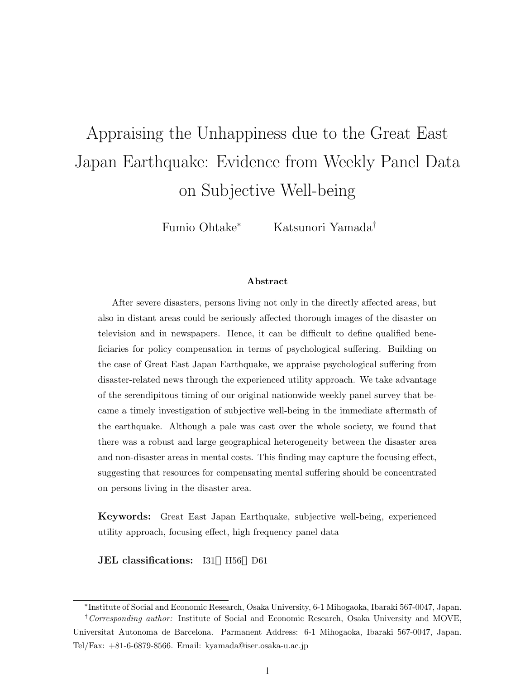# Appraising the Unhappiness due to the Great East Japan Earthquake: Evidence from Weekly Panel Data on Subjective Well-being

Fumio Ohtake*<sup>∗</sup>* Katsunori Yamada*†*

#### **Abstract**

After severe disasters, persons living not only in the directly affected areas, but also in distant areas could be seriously affected thorough images of the disaster on television and in newspapers. Hence, it can be difficult to define qualified beneficiaries for policy compensation in terms of psychological suffering. Building on the case of Great East Japan Earthquake, we appraise psychological suffering from disaster-related news through the experienced utility approach. We take advantage of the serendipitous timing of our original nationwide weekly panel survey that became a timely investigation of subjective well-being in the immediate aftermath of the earthquake. Although a pale was cast over the whole society, we found that there was a robust and large geographical heterogeneity between the disaster area and non-disaster areas in mental costs. This finding may capture the focusing effect, suggesting that resources for compensating mental suffering should be concentrated on persons living in the disaster area.

**Keywords:** Great East Japan Earthquake, subjective well-being, experienced utility approach, focusing effect, high frequency panel data

**JEL classifications:** I31 H56 D61

*<sup>∗</sup>* Institute of Social and Economic Research, Osaka University, 6-1 Mihogaoka, Ibaraki 567-0047, Japan. *†Corresponding author:* Institute of Social and Economic Research, Osaka University and MOVE, Universitat Autonoma de Barcelona. Parmanent Address: 6-1 Mihogaoka, Ibaraki 567-0047, Japan. Tel/Fax: +81-6-6879-8566. Email: kyamada@iser.osaka-u.ac.jp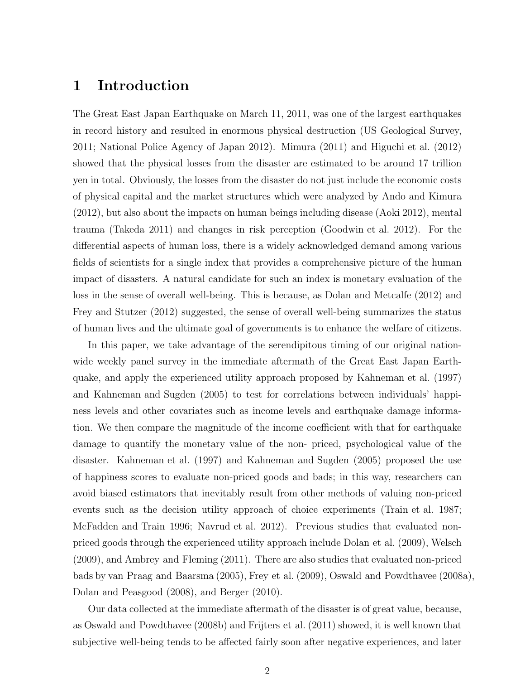### **1 Introduction**

The Great East Japan Earthquake on March 11, 2011, was one of the largest earthquakes in record history and resulted in enormous physical destruction (US Geological Survey, 2011; National Police Agency of Japan 2012). Mimura (2011) and Higuchi et al. (2012) showed that the physical losses from the disaster are estimated to be around 17 trillion yen in total. Obviously, the losses from the disaster do not just include the economic costs of physical capital and the market structures which were analyzed by Ando and Kimura (2012), but also about the impacts on human beings including disease (Aoki 2012), mental trauma (Takeda 2011) and changes in risk perception (Goodwin et al. 2012). For the differential aspects of human loss, there is a widely acknowledged demand among various fields of scientists for a single index that provides a comprehensive picture of the human impact of disasters. A natural candidate for such an index is monetary evaluation of the loss in the sense of overall well-being. This is because, as Dolan and Metcalfe (2012) and Frey and Stutzer (2012) suggested, the sense of overall well-being summarizes the status of human lives and the ultimate goal of governments is to enhance the welfare of citizens.

In this paper, we take advantage of the serendipitous timing of our original nationwide weekly panel survey in the immediate aftermath of the Great East Japan Earthquake, and apply the experienced utility approach proposed by Kahneman et al. (1997) and Kahneman and Sugden (2005) to test for correlations between individuals' happiness levels and other covariates such as income levels and earthquake damage information. We then compare the magnitude of the income coefficient with that for earthquake damage to quantify the monetary value of the non- priced, psychological value of the disaster. Kahneman et al. (1997) and Kahneman and Sugden (2005) proposed the use of happiness scores to evaluate non-priced goods and bads; in this way, researchers can avoid biased estimators that inevitably result from other methods of valuing non-priced events such as the decision utility approach of choice experiments (Train et al. 1987; McFadden and Train 1996; Navrud et al. 2012). Previous studies that evaluated nonpriced goods through the experienced utility approach include Dolan et al. (2009), Welsch (2009), and Ambrey and Fleming (2011). There are also studies that evaluated non-priced bads by van Praag and Baarsma (2005), Frey et al. (2009), Oswald and Powdthavee (2008a), Dolan and Peasgood (2008), and Berger (2010).

Our data collected at the immediate aftermath of the disaster is of great value, because, as Oswald and Powdthavee (2008b) and Frijters et al. (2011) showed, it is well known that subjective well-being tends to be affected fairly soon after negative experiences, and later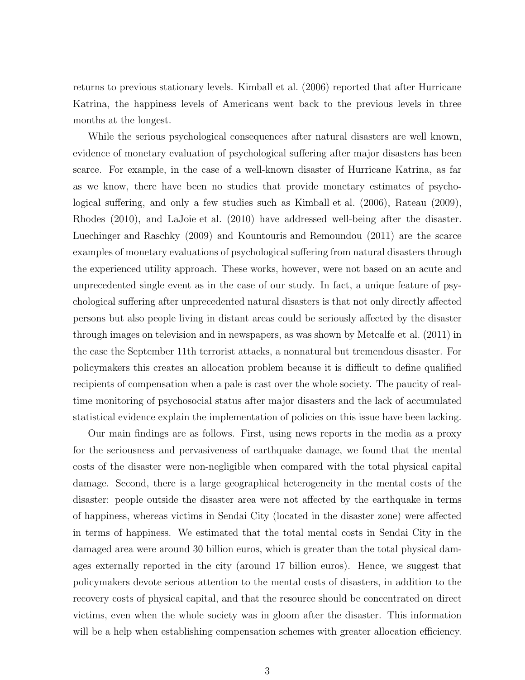returns to previous stationary levels. Kimball et al. (2006) reported that after Hurricane Katrina, the happiness levels of Americans went back to the previous levels in three months at the longest.

While the serious psychological consequences after natural disasters are well known, evidence of monetary evaluation of psychological suffering after major disasters has been scarce. For example, in the case of a well-known disaster of Hurricane Katrina, as far as we know, there have been no studies that provide monetary estimates of psychological suffering, and only a few studies such as Kimball et al. (2006), Rateau (2009), Rhodes (2010), and LaJoie et al. (2010) have addressed well-being after the disaster. Luechinger and Raschky (2009) and Kountouris and Remoundou (2011) are the scarce examples of monetary evaluations of psychological suffering from natural disasters through the experienced utility approach. These works, however, were not based on an acute and unprecedented single event as in the case of our study. In fact, a unique feature of psychological suffering after unprecedented natural disasters is that not only directly affected persons but also people living in distant areas could be seriously affected by the disaster through images on television and in newspapers, as was shown by Metcalfe et al. (2011) in the case the September 11th terrorist attacks, a nonnatural but tremendous disaster. For policymakers this creates an allocation problem because it is difficult to define qualified recipients of compensation when a pale is cast over the whole society. The paucity of realtime monitoring of psychosocial status after major disasters and the lack of accumulated statistical evidence explain the implementation of policies on this issue have been lacking.

Our main findings are as follows. First, using news reports in the media as a proxy for the seriousness and pervasiveness of earthquake damage, we found that the mental costs of the disaster were non-negligible when compared with the total physical capital damage. Second, there is a large geographical heterogeneity in the mental costs of the disaster: people outside the disaster area were not affected by the earthquake in terms of happiness, whereas victims in Sendai City (located in the disaster zone) were affected in terms of happiness. We estimated that the total mental costs in Sendai City in the damaged area were around 30 billion euros, which is greater than the total physical damages externally reported in the city (around 17 billion euros). Hence, we suggest that policymakers devote serious attention to the mental costs of disasters, in addition to the recovery costs of physical capital, and that the resource should be concentrated on direct victims, even when the whole society was in gloom after the disaster. This information will be a help when establishing compensation schemes with greater allocation efficiency.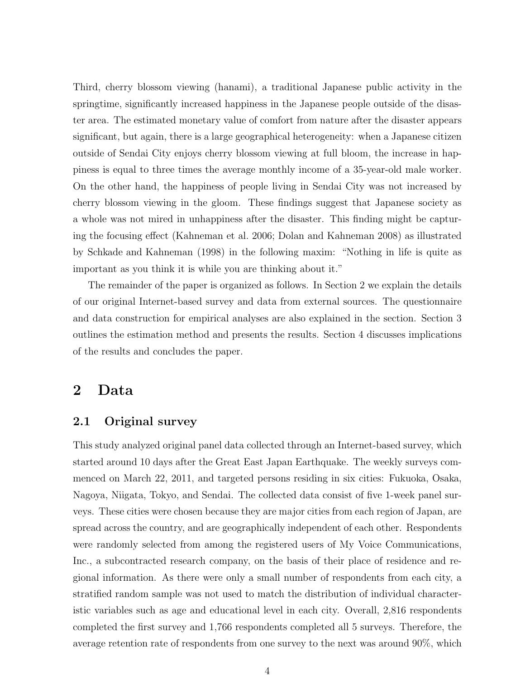Third, cherry blossom viewing (hanami), a traditional Japanese public activity in the springtime, significantly increased happiness in the Japanese people outside of the disaster area. The estimated monetary value of comfort from nature after the disaster appears significant, but again, there is a large geographical heterogeneity: when a Japanese citizen outside of Sendai City enjoys cherry blossom viewing at full bloom, the increase in happiness is equal to three times the average monthly income of a 35-year-old male worker. On the other hand, the happiness of people living in Sendai City was not increased by cherry blossom viewing in the gloom. These findings suggest that Japanese society as a whole was not mired in unhappiness after the disaster. This finding might be capturing the focusing effect (Kahneman et al. 2006; Dolan and Kahneman 2008) as illustrated by Schkade and Kahneman (1998) in the following maxim: "Nothing in life is quite as important as you think it is while you are thinking about it."

The remainder of the paper is organized as follows. In Section 2 we explain the details of our original Internet-based survey and data from external sources. The questionnaire and data construction for empirical analyses are also explained in the section. Section 3 outlines the estimation method and presents the results. Section 4 discusses implications of the results and concludes the paper.

### **2 Data**

### **2.1 Original survey**

This study analyzed original panel data collected through an Internet-based survey, which started around 10 days after the Great East Japan Earthquake. The weekly surveys commenced on March 22, 2011, and targeted persons residing in six cities: Fukuoka, Osaka, Nagoya, Niigata, Tokyo, and Sendai. The collected data consist of five 1-week panel surveys. These cities were chosen because they are major cities from each region of Japan, are spread across the country, and are geographically independent of each other. Respondents were randomly selected from among the registered users of My Voice Communications, Inc., a subcontracted research company, on the basis of their place of residence and regional information. As there were only a small number of respondents from each city, a stratified random sample was not used to match the distribution of individual characteristic variables such as age and educational level in each city. Overall, 2,816 respondents completed the first survey and 1,766 respondents completed all 5 surveys. Therefore, the average retention rate of respondents from one survey to the next was around 90%, which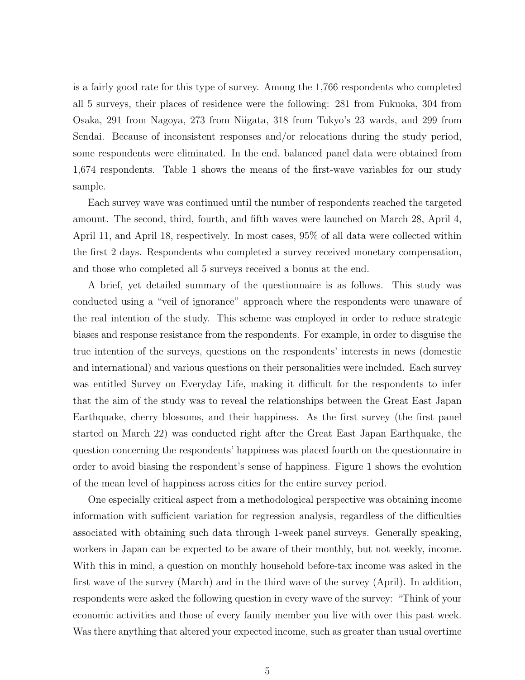is a fairly good rate for this type of survey. Among the 1,766 respondents who completed all 5 surveys, their places of residence were the following: 281 from Fukuoka, 304 from Osaka, 291 from Nagoya, 273 from Niigata, 318 from Tokyo's 23 wards, and 299 from Sendai. Because of inconsistent responses and/or relocations during the study period, some respondents were eliminated. In the end, balanced panel data were obtained from 1,674 respondents. Table 1 shows the means of the first-wave variables for our study sample.

Each survey wave was continued until the number of respondents reached the targeted amount. The second, third, fourth, and fifth waves were launched on March 28, April 4, April 11, and April 18, respectively. In most cases, 95% of all data were collected within the first 2 days. Respondents who completed a survey received monetary compensation, and those who completed all 5 surveys received a bonus at the end.

A brief, yet detailed summary of the questionnaire is as follows. This study was conducted using a "veil of ignorance" approach where the respondents were unaware of the real intention of the study. This scheme was employed in order to reduce strategic biases and response resistance from the respondents. For example, in order to disguise the true intention of the surveys, questions on the respondents' interests in news (domestic and international) and various questions on their personalities were included. Each survey was entitled Survey on Everyday Life, making it difficult for the respondents to infer that the aim of the study was to reveal the relationships between the Great East Japan Earthquake, cherry blossoms, and their happiness. As the first survey (the first panel started on March 22) was conducted right after the Great East Japan Earthquake, the question concerning the respondents' happiness was placed fourth on the questionnaire in order to avoid biasing the respondent's sense of happiness. Figure 1 shows the evolution of the mean level of happiness across cities for the entire survey period.

One especially critical aspect from a methodological perspective was obtaining income information with sufficient variation for regression analysis, regardless of the difficulties associated with obtaining such data through 1-week panel surveys. Generally speaking, workers in Japan can be expected to be aware of their monthly, but not weekly, income. With this in mind, a question on monthly household before-tax income was asked in the first wave of the survey (March) and in the third wave of the survey (April). In addition, respondents were asked the following question in every wave of the survey: "Think of your economic activities and those of every family member you live with over this past week. Was there anything that altered your expected income, such as greater than usual overtime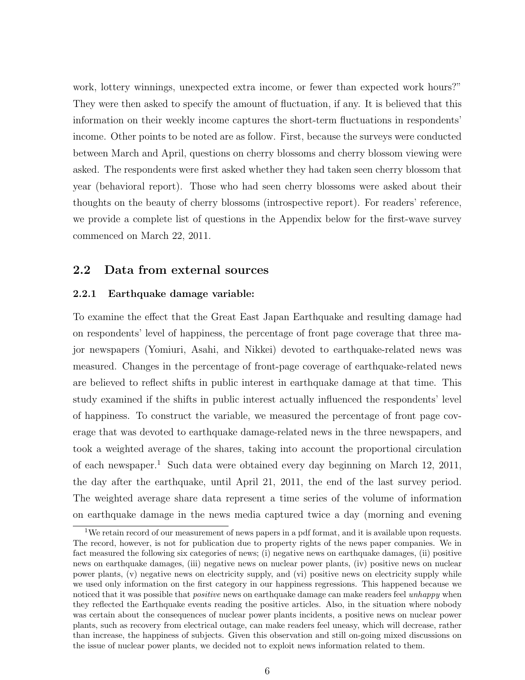work, lottery winnings, unexpected extra income, or fewer than expected work hours?" They were then asked to specify the amount of fluctuation, if any. It is believed that this information on their weekly income captures the short-term fluctuations in respondents' income. Other points to be noted are as follow. First, because the surveys were conducted between March and April, questions on cherry blossoms and cherry blossom viewing were asked. The respondents were first asked whether they had taken seen cherry blossom that year (behavioral report). Those who had seen cherry blossoms were asked about their thoughts on the beauty of cherry blossoms (introspective report). For readers' reference, we provide a complete list of questions in the Appendix below for the first-wave survey commenced on March 22, 2011.

### **2.2 Data from external sources**

#### **2.2.1 Earthquake damage variable:**

To examine the effect that the Great East Japan Earthquake and resulting damage had on respondents' level of happiness, the percentage of front page coverage that three major newspapers (Yomiuri, Asahi, and Nikkei) devoted to earthquake-related news was measured. Changes in the percentage of front-page coverage of earthquake-related news are believed to reflect shifts in public interest in earthquake damage at that time. This study examined if the shifts in public interest actually influenced the respondents' level of happiness. To construct the variable, we measured the percentage of front page coverage that was devoted to earthquake damage-related news in the three newspapers, and took a weighted average of the shares, taking into account the proportional circulation of each newspaper.<sup>1</sup> Such data were obtained every day beginning on March 12, 2011, the day after the earthquake, until April 21, 2011, the end of the last survey period. The weighted average share data represent a time series of the volume of information on earthquake damage in the news media captured twice a day (morning and evening

<sup>&</sup>lt;sup>1</sup>We retain record of our measurement of news papers in a pdf format, and it is available upon requests. The record, however, is not for publication due to property rights of the news paper companies. We in fact measured the following six categories of news; (i) negative news on earthquake damages, (ii) positive news on earthquake damages, (iii) negative news on nuclear power plants, (iv) positive news on nuclear power plants, (v) negative news on electricity supply, and (vi) positive news on electricity supply while we used only information on the first category in our happiness regressions. This happened because we noticed that it was possible that *positive* news on earthquake damage can make readers feel *unhappy* when they reflected the Earthquake events reading the positive articles. Also, in the situation where nobody was certain about the consequences of nuclear power plants incidents, a positive news on nuclear power plants, such as recovery from electrical outage, can make readers feel uneasy, which will decrease, rather than increase, the happiness of subjects. Given this observation and still on-going mixed discussions on the issue of nuclear power plants, we decided not to exploit news information related to them.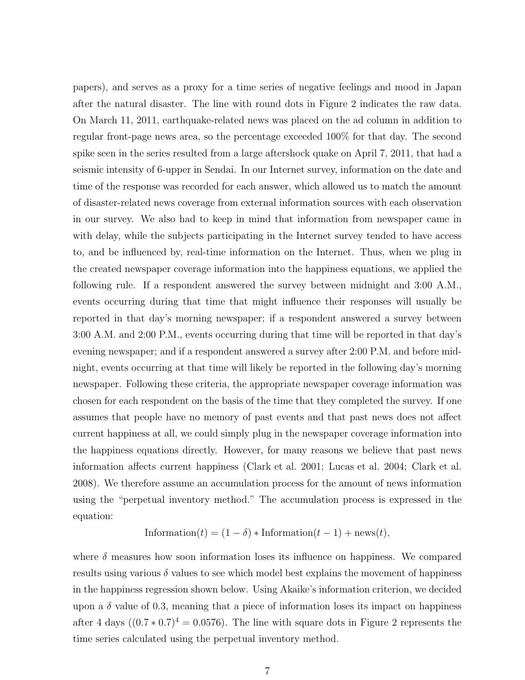papers), and serves as a proxy for a time series of negative feelings and mood in Japan after the natural disaster. The line with round dots in Figure 2 indicates the raw data. On March 11, 2011, earthquake-related news was placed on the ad column in addition to regular front-page news area, so the percentage exceeded 100% for that day. The second spike seen in the series resulted from a large aftershock quake on April 7, 2011, that had a seismic intensity of 6-upper in Sendai. In our Internet survey, information on the date and time of the response was recorded for each answer, which allowed us to match the amount of disaster-related news coverage from external information sources with each observation in our survey. We also had to keep in mind that information from newspaper came in with delay, while the subjects participating in the Internet survey tended to have access to, and be influenced by, real-time information on the Internet. Thus, when we plug in the created newspaper coverage information into the happiness equations, we applied the following rule. If a respondent answered the survey between midnight and 3:00 A.M., events occurring during that time that might influence their responses will usually be reported in that day's morning newspaper; if a respondent answered a survey between 3:00 A.M. and 2:00 P.M., events occurring during that time will be reported in that day's evening newspaper; and if a respondent answered a survey after 2:00 P.M. and before midnight, events occurring at that time will likely be reported in the following day's morning newspaper. Following these criteria, the appropriate newspaper coverage information was chosen for each respondent on the basis of the time that they completed the survey. If one assumes that people have no memory of past events and that past news does not affect current happiness at all, we could simply plug in the newspaper coverage information into the happiness equations directly. However, for many reasons we believe that past news information affects current happiness (Clark et al. 2001; Lucas et al. 2004; Clark et al. 2008). We therefore assume an accumulation process for the amount of news information using the "perpetual inventory method." The accumulation process is expressed in the equation:

$$
Information(t) = (1 - \delta) * Information(t - 1) + news(t),
$$

where  $\delta$  measures how soon information loses its influence on happiness. We compared results using various  $\delta$  values to see which model best explains the movement of happiness in the happiness regression shown below. Using Akaike's information criterion, we decided upon a  $\delta$  value of 0.3, meaning that a piece of information loses its impact on happiness after 4 days  $((0.7 * 0.7)^4 = 0.0576)$ . The line with square dots in Figure 2 represents the time series calculated using the perpetual inventory method.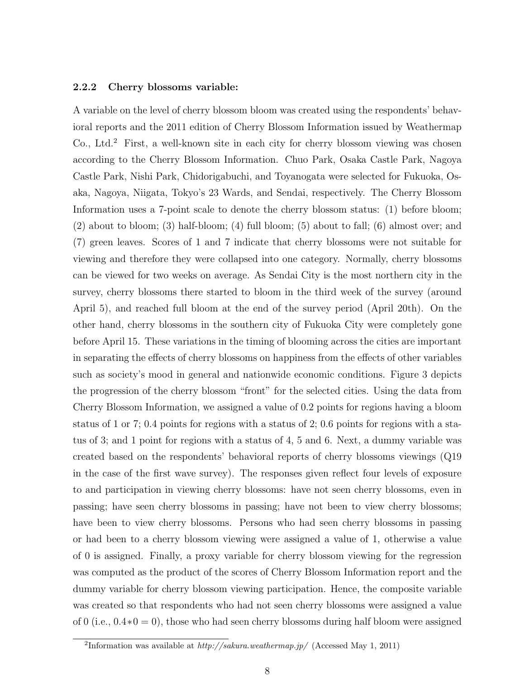#### **2.2.2 Cherry blossoms variable:**

A variable on the level of cherry blossom bloom was created using the respondents' behavioral reports and the 2011 edition of Cherry Blossom Information issued by Weathermap Co., Ltd.<sup>2</sup> First, a well-known site in each city for cherry blossom viewing was chosen according to the Cherry Blossom Information. Chuo Park, Osaka Castle Park, Nagoya Castle Park, Nishi Park, Chidorigabuchi, and Toyanogata were selected for Fukuoka, Osaka, Nagoya, Niigata, Tokyo's 23 Wards, and Sendai, respectively. The Cherry Blossom Information uses a 7-point scale to denote the cherry blossom status: (1) before bloom; (2) about to bloom; (3) half-bloom; (4) full bloom; (5) about to fall; (6) almost over; and (7) green leaves. Scores of 1 and 7 indicate that cherry blossoms were not suitable for viewing and therefore they were collapsed into one category. Normally, cherry blossoms can be viewed for two weeks on average. As Sendai City is the most northern city in the survey, cherry blossoms there started to bloom in the third week of the survey (around April 5), and reached full bloom at the end of the survey period (April 20th). On the other hand, cherry blossoms in the southern city of Fukuoka City were completely gone before April 15. These variations in the timing of blooming across the cities are important in separating the effects of cherry blossoms on happiness from the effects of other variables such as society's mood in general and nationwide economic conditions. Figure 3 depicts the progression of the cherry blossom "front" for the selected cities. Using the data from Cherry Blossom Information, we assigned a value of 0*.*2 points for regions having a bloom status of 1 or 7; 0*.*4 points for regions with a status of 2; 0*.*6 points for regions with a status of 3; and 1 point for regions with a status of 4, 5 and 6. Next, a dummy variable was created based on the respondents' behavioral reports of cherry blossoms viewings (Q19 in the case of the first wave survey). The responses given reflect four levels of exposure to and participation in viewing cherry blossoms: have not seen cherry blossoms, even in passing; have seen cherry blossoms in passing; have not been to view cherry blossoms; have been to view cherry blossoms. Persons who had seen cherry blossoms in passing or had been to a cherry blossom viewing were assigned a value of 1, otherwise a value of 0 is assigned. Finally, a proxy variable for cherry blossom viewing for the regression was computed as the product of the scores of Cherry Blossom Information report and the dummy variable for cherry blossom viewing participation. Hence, the composite variable was created so that respondents who had not seen cherry blossoms were assigned a value of 0 (i.e., 0*.*4*∗*0 = 0), those who had seen cherry blossoms during half bloom were assigned

<sup>2</sup> Information was available at *http://sakura.weathermap.jp/* (Accessed May 1, 2011)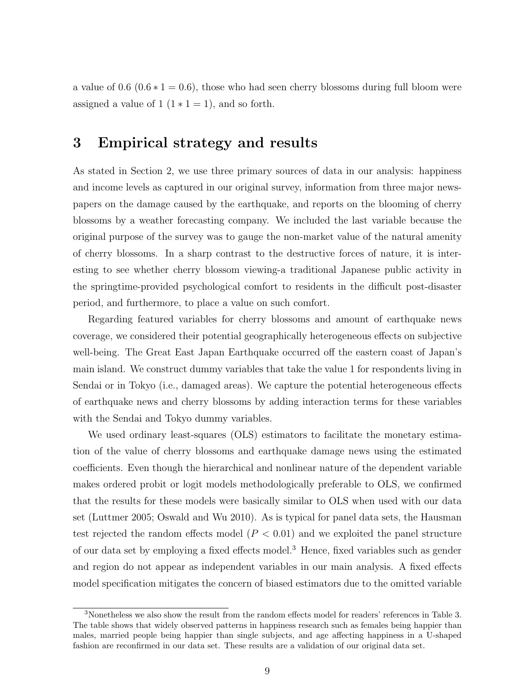a value of  $0.6$   $(0.6 * 1 = 0.6)$ , those who had seen cherry blossoms during full bloom were assigned a value of  $1 (1 * 1 = 1)$ , and so forth.

## **3 Empirical strategy and results**

As stated in Section 2, we use three primary sources of data in our analysis: happiness and income levels as captured in our original survey, information from three major newspapers on the damage caused by the earthquake, and reports on the blooming of cherry blossoms by a weather forecasting company. We included the last variable because the original purpose of the survey was to gauge the non-market value of the natural amenity of cherry blossoms. In a sharp contrast to the destructive forces of nature, it is interesting to see whether cherry blossom viewing-a traditional Japanese public activity in the springtime-provided psychological comfort to residents in the difficult post-disaster period, and furthermore, to place a value on such comfort.

Regarding featured variables for cherry blossoms and amount of earthquake news coverage, we considered their potential geographically heterogeneous effects on subjective well-being. The Great East Japan Earthquake occurred off the eastern coast of Japan's main island. We construct dummy variables that take the value 1 for respondents living in Sendai or in Tokyo (i.e., damaged areas). We capture the potential heterogeneous effects of earthquake news and cherry blossoms by adding interaction terms for these variables with the Sendai and Tokyo dummy variables.

We used ordinary least-squares (OLS) estimators to facilitate the monetary estimation of the value of cherry blossoms and earthquake damage news using the estimated coefficients. Even though the hierarchical and nonlinear nature of the dependent variable makes ordered probit or logit models methodologically preferable to OLS, we confirmed that the results for these models were basically similar to OLS when used with our data set (Luttmer 2005; Oswald and Wu 2010). As is typical for panel data sets, the Hausman test rejected the random effects model  $(P < 0.01)$  and we exploited the panel structure of our data set by employing a fixed effects model.<sup>3</sup> Hence, fixed variables such as gender and region do not appear as independent variables in our main analysis. A fixed effects model specification mitigates the concern of biased estimators due to the omitted variable

<sup>3</sup>Nonetheless we also show the result from the random effects model for readers' references in Table 3. The table shows that widely observed patterns in happiness research such as females being happier than males, married people being happier than single subjects, and age affecting happiness in a U-shaped fashion are reconfirmed in our data set. These results are a validation of our original data set.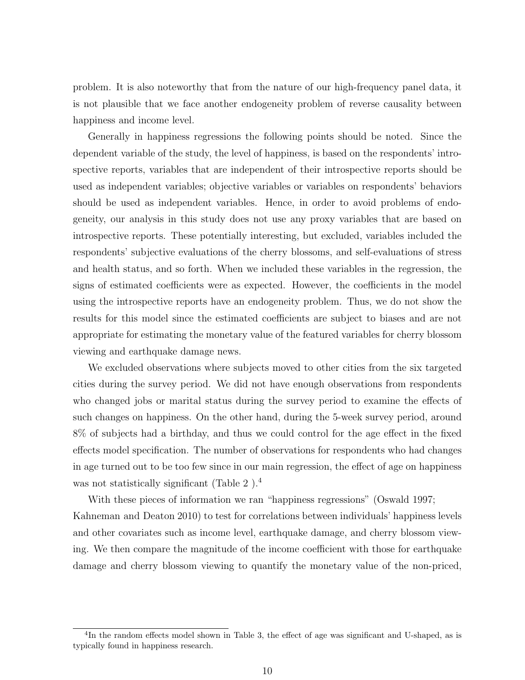problem. It is also noteworthy that from the nature of our high-frequency panel data, it is not plausible that we face another endogeneity problem of reverse causality between happiness and income level.

Generally in happiness regressions the following points should be noted. Since the dependent variable of the study, the level of happiness, is based on the respondents' introspective reports, variables that are independent of their introspective reports should be used as independent variables; objective variables or variables on respondents' behaviors should be used as independent variables. Hence, in order to avoid problems of endogeneity, our analysis in this study does not use any proxy variables that are based on introspective reports. These potentially interesting, but excluded, variables included the respondents' subjective evaluations of the cherry blossoms, and self-evaluations of stress and health status, and so forth. When we included these variables in the regression, the signs of estimated coefficients were as expected. However, the coefficients in the model using the introspective reports have an endogeneity problem. Thus, we do not show the results for this model since the estimated coefficients are subject to biases and are not appropriate for estimating the monetary value of the featured variables for cherry blossom viewing and earthquake damage news.

We excluded observations where subjects moved to other cities from the six targeted cities during the survey period. We did not have enough observations from respondents who changed jobs or marital status during the survey period to examine the effects of such changes on happiness. On the other hand, during the 5-week survey period, around 8% of subjects had a birthday, and thus we could control for the age effect in the fixed effects model specification. The number of observations for respondents who had changes in age turned out to be too few since in our main regression, the effect of age on happiness was not statistically significant (Table 2).<sup>4</sup>

With these pieces of information we ran "happiness regressions" (Oswald 1997; Kahneman and Deaton 2010) to test for correlations between individuals' happiness levels and other covariates such as income level, earthquake damage, and cherry blossom viewing. We then compare the magnitude of the income coefficient with those for earthquake damage and cherry blossom viewing to quantify the monetary value of the non-priced,

<sup>&</sup>lt;sup>4</sup>In the random effects model shown in Table 3, the effect of age was significant and U-shaped, as is typically found in happiness research.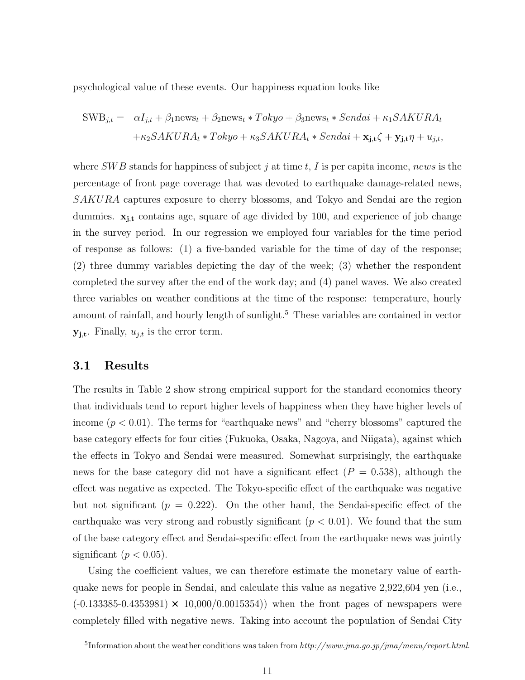psychological value of these events. Our happiness equation looks like

$$
SWB_{j,t} = \alpha I_{j,t} + \beta_1 n \text{ews}_t + \beta_2 n \text{ews}_t * Tokyo + \beta_3 n \text{ews}_t * Sendai + \kappa_1 SAKURA_t
$$

$$
+\kappa_2 SAKURA_t * Tokyo + \kappa_3 SAKURA_t * Sendai + \mathbf{x}_{j,t} \zeta + \mathbf{y}_{j,t} \eta + u_{j,t},
$$

where *SW B* stands for happiness of subject *j* at time *t*, *I* is per capita income, *news* is the percentage of front page coverage that was devoted to earthquake damage-related news, *SAKURA* captures exposure to cherry blossoms, and Tokyo and Sendai are the region dummies. **xj***,***<sup>t</sup>** contains age, square of age divided by 100, and experience of job change in the survey period. In our regression we employed four variables for the time period of response as follows: (1) a five-banded variable for the time of day of the response; (2) three dummy variables depicting the day of the week; (3) whether the respondent completed the survey after the end of the work day; and (4) panel waves. We also created three variables on weather conditions at the time of the response: temperature, hourly amount of rainfall, and hourly length of sunlight.<sup>5</sup> These variables are contained in vector  $\mathbf{y}_{\mathbf{j},\mathbf{t}}$ . Finally,  $u_{j,t}$  is the error term.

### **3.1 Results**

The results in Table 2 show strong empirical support for the standard economics theory that individuals tend to report higher levels of happiness when they have higher levels of income  $(p < 0.01)$ . The terms for "earthquake news" and "cherry blossoms" captured the base category effects for four cities (Fukuoka, Osaka, Nagoya, and Niigata), against which the effects in Tokyo and Sendai were measured. Somewhat surprisingly, the earthquake news for the base category did not have a significant effect  $(P = 0.538)$ , although the effect was negative as expected. The Tokyo-specific effect of the earthquake was negative but not significant  $(p = 0.222)$ . On the other hand, the Sendai-specific effect of the earthquake was very strong and robustly significant  $(p < 0.01)$ . We found that the sum of the base category effect and Sendai-specific effect from the earthquake news was jointly significant  $(p < 0.05)$ .

Using the coefficient values, we can therefore estimate the monetary value of earthquake news for people in Sendai, and calculate this value as negative 2,922,604 yen (i.e.,  $(-0.133385 - 0.4353981) \times 10,000/0.0015354)$  when the front pages of newspapers were completely filled with negative news. Taking into account the population of Sendai City

<sup>5</sup> Information about the weather conditions was taken from *http://www.jma.go.jp/jma/menu/report.html*.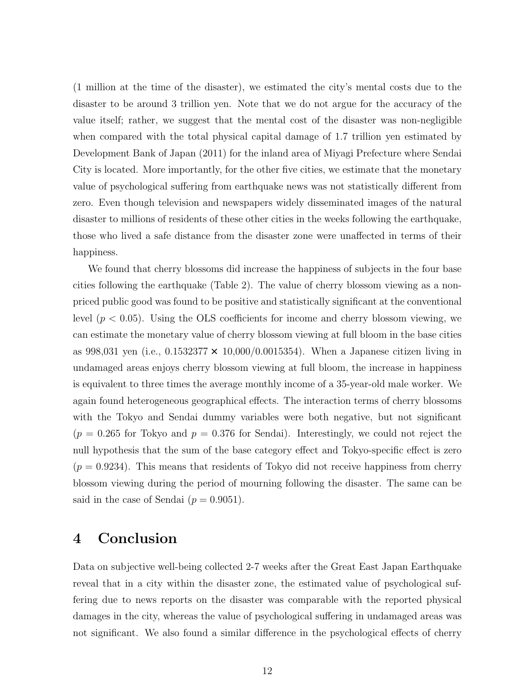(1 million at the time of the disaster), we estimated the city's mental costs due to the disaster to be around 3 trillion yen. Note that we do not argue for the accuracy of the value itself; rather, we suggest that the mental cost of the disaster was non-negligible when compared with the total physical capital damage of 1.7 trillion yen estimated by Development Bank of Japan (2011) for the inland area of Miyagi Prefecture where Sendai City is located. More importantly, for the other five cities, we estimate that the monetary value of psychological suffering from earthquake news was not statistically different from zero. Even though television and newspapers widely disseminated images of the natural disaster to millions of residents of these other cities in the weeks following the earthquake, those who lived a safe distance from the disaster zone were unaffected in terms of their happiness.

We found that cherry blossoms did increase the happiness of subjects in the four base cities following the earthquake (Table 2). The value of cherry blossom viewing as a nonpriced public good was found to be positive and statistically significant at the conventional level (*p <* 0*.*05). Using the OLS coefficients for income and cherry blossom viewing, we can estimate the monetary value of cherry blossom viewing at full bloom in the base cities as 998,031 yen (i.e.,  $0.1532377 \times 10,000/0.0015354$ ). When a Japanese citizen living in undamaged areas enjoys cherry blossom viewing at full bloom, the increase in happiness is equivalent to three times the average monthly income of a 35-year-old male worker. We again found heterogeneous geographical effects. The interaction terms of cherry blossoms with the Tokyo and Sendai dummy variables were both negative, but not significant  $(p = 0.265$  for Tokyo and  $p = 0.376$  for Sendai). Interestingly, we could not reject the null hypothesis that the sum of the base category effect and Tokyo-specific effect is zero  $(p = 0.9234)$ . This means that residents of Tokyo did not receive happiness from cherry blossom viewing during the period of mourning following the disaster. The same can be said in the case of Sendai  $(p = 0.9051)$ .

### **4 Conclusion**

Data on subjective well-being collected 2-7 weeks after the Great East Japan Earthquake reveal that in a city within the disaster zone, the estimated value of psychological suffering due to news reports on the disaster was comparable with the reported physical damages in the city, whereas the value of psychological suffering in undamaged areas was not significant. We also found a similar difference in the psychological effects of cherry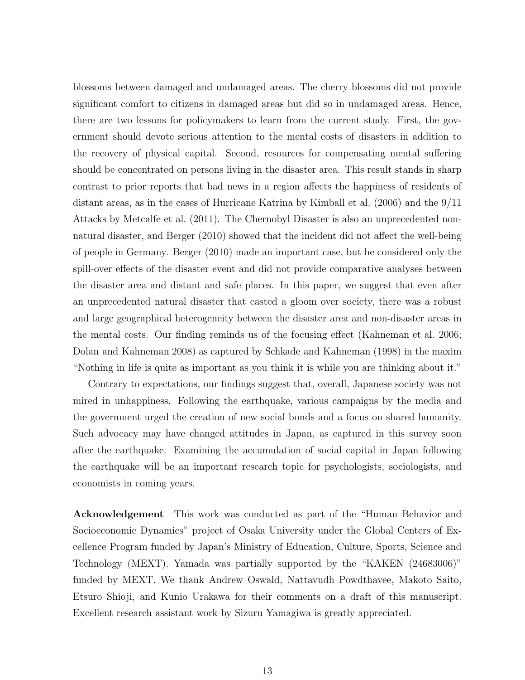blossoms between damaged and undamaged areas. The cherry blossoms did not provide significant comfort to citizens in damaged areas but did so in undamaged areas. Hence, there are two lessons for policymakers to learn from the current study. First, the government should devote serious attention to the mental costs of disasters in addition to the recovery of physical capital. Second, resources for compensating mental suffering should be concentrated on persons living in the disaster area. This result stands in sharp contrast to prior reports that bad news in a region affects the happiness of residents of distant areas, as in the cases of Hurricane Katrina by Kimball et al. (2006) and the 9/11 Attacks by Metcalfe et al. (2011). The Chernobyl Disaster is also an unprecedented nonnatural disaster, and Berger (2010) showed that the incident did not affect the well-being of people in Germany. Berger (2010) made an important case, but he considered only the spill-over effects of the disaster event and did not provide comparative analyses between the disaster area and distant and safe places. In this paper, we suggest that even after an unprecedented natural disaster that casted a gloom over society, there was a robust and large geographical heterogeneity between the disaster area and non-disaster areas in the mental costs. Our finding reminds us of the focusing effect (Kahneman et al. 2006; Dolan and Kahneman 2008) as captured by Schkade and Kahneman (1998) in the maxim "Nothing in life is quite as important as you think it is while you are thinking about it."

Contrary to expectations, our findings suggest that, overall, Japanese society was not mired in unhappiness. Following the earthquake, various campaigns by the media and the government urged the creation of new social bonds and a focus on shared humanity. Such advocacy may have changed attitudes in Japan, as captured in this survey soon after the earthquake. Examining the accumulation of social capital in Japan following the earthquake will be an important research topic for psychologists, sociologists, and economists in coming years.

**Acknowledgement** This work was conducted as part of the "Human Behavior and Socioeconomic Dynamics" project of Osaka University under the Global Centers of Excellence Program funded by Japan's Ministry of Education, Culture, Sports, Science and Technology (MEXT). Yamada was partially supported by the "KAKEN (24683006)" funded by MEXT. We thank Andrew Oswald, Nattavudh Powdthavee, Makoto Saito, Etsuro Shioji, and Kunio Urakawa for their comments on a draft of this manuscript. Excellent research assistant work by Sizuru Yamagiwa is greatly appreciated.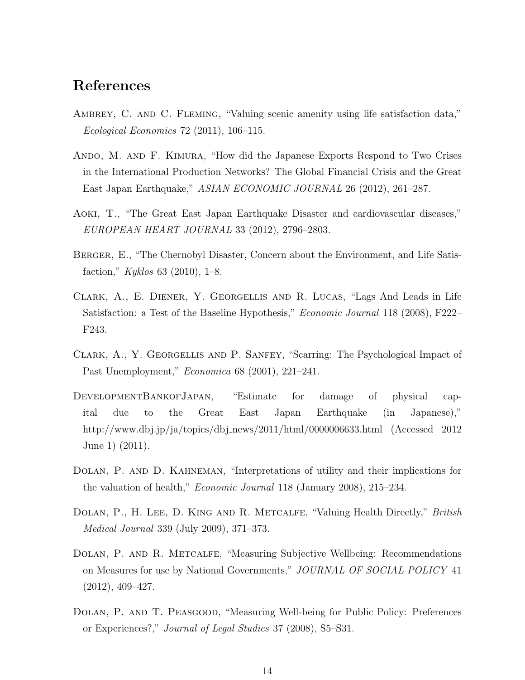## **References**

- AMBREY, C. AND C. FLEMING, "Valuing scenic amenity using life satisfaction data," *Ecological Economics* 72 (2011), 106–115.
- Ando, M. and F. Kimura, "How did the Japanese Exports Respond to Two Crises in the International Production Networks? The Global Financial Crisis and the Great East Japan Earthquake," *ASIAN ECONOMIC JOURNAL* 26 (2012), 261–287.
- Aoki, T., "The Great East Japan Earthquake Disaster and cardiovascular diseases," *EUROPEAN HEART JOURNAL* 33 (2012), 2796–2803.
- Berger, E., "The Chernobyl Disaster, Concern about the Environment, and Life Satisfaction," *Kyklos* 63 (2010), 1–8.
- Clark, A., E. Diener, Y. Georgellis and R. Lucas, "Lags And Leads in Life Satisfaction: a Test of the Baseline Hypothesis," *Economic Journal* 118 (2008), F222– F243.
- Clark, A., Y. Georgellis and P. Sanfey, "Scarring: The Psychological Impact of Past Unemployment," *Economica* 68 (2001), 221–241.
- DevelopmentBankofJapan, "Estimate for damage of physical capital due to the Great East Japan Earthquake (in Japanese)," http://www.dbj.jp/ja/topics/dbj news/2011/html/0000006633.html (Accessed 2012 June 1) (2011).
- Dolan, P. and D. Kahneman, "Interpretations of utility and their implications for the valuation of health," *Economic Journal* 118 (January 2008), 215–234.
- Dolan, P., H. Lee, D. King and R. Metcalfe, "Valuing Health Directly," *British Medical Journal* 339 (July 2009), 371–373.
- Dolan, P. and R. Metcalfe, "Measuring Subjective Wellbeing: Recommendations on Measures for use by National Governments," *JOURNAL OF SOCIAL POLICY* 41 (2012), 409–427.
- Dolan, P. and T. Peasgood, "Measuring Well-being for Public Policy: Preferences or Experiences?," *Journal of Legal Studies* 37 (2008), S5–S31.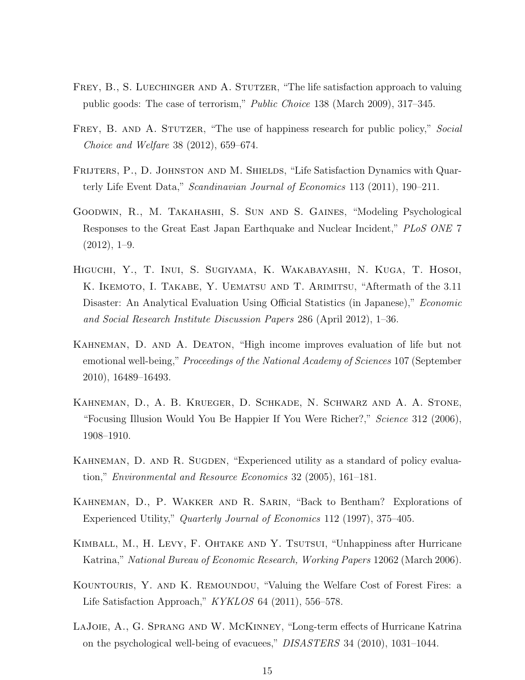- FREY, B., S. LUECHINGER AND A. STUTZER, "The life satisfaction approach to valuing public goods: The case of terrorism," *Public Choice* 138 (March 2009), 317–345.
- Frey, B. and A. Stutzer, "The use of happiness research for public policy," *Social Choice and Welfare* 38 (2012), 659–674.
- FRIJTERS, P., D. JOHNSTON AND M. SHIELDS, "Life Satisfaction Dynamics with Quarterly Life Event Data," *Scandinavian Journal of Economics* 113 (2011), 190–211.
- Goodwin, R., M. Takahashi, S. Sun and S. Gaines, "Modeling Psychological Responses to the Great East Japan Earthquake and Nuclear Incident," *PLoS ONE* 7  $(2012), 1-9.$
- Higuchi, Y., T. Inui, S. Sugiyama, K. Wakabayashi, N. Kuga, T. Hosoi, K. IKEMOTO, I. TAKABE, Y. UEMATSU AND T. ARIMITSU, "Aftermath of the 3.11 Disaster: An Analytical Evaluation Using Official Statistics (in Japanese)," *Economic and Social Research Institute Discussion Papers* 286 (April 2012), 1–36.
- Kahneman, D. and A. Deaton, "High income improves evaluation of life but not emotional well-being," *Proceedings of the National Academy of Sciences* 107 (September 2010), 16489–16493.
- Kahneman, D., A. B. Krueger, D. Schkade, N. Schwarz and A. A. Stone, "Focusing Illusion Would You Be Happier If You Were Richer?," *Science* 312 (2006), 1908–1910.
- KAHNEMAN, D. AND R. SUGDEN, "Experienced utility as a standard of policy evaluation," *Environmental and Resource Economics* 32 (2005), 161–181.
- Kahneman, D., P. Wakker and R. Sarin, "Back to Bentham? Explorations of Experienced Utility," *Quarterly Journal of Economics* 112 (1997), 375–405.
- KIMBALL, M., H. LEVY, F. OHTAKE AND Y. TSUTSUI, "Unhappiness after Hurricane Katrina," *National Bureau of Economic Research, Working Papers* 12062 (March 2006).
- Kountouris, Y. and K. Remoundou, "Valuing the Welfare Cost of Forest Fires: a Life Satisfaction Approach," *KYKLOS* 64 (2011), 556–578.
- LAJOIE, A., G. SPRANG AND W. MCKINNEY, "Long-term effects of Hurricane Katrina on the psychological well-being of evacuees," *DISASTERS* 34 (2010), 1031–1044.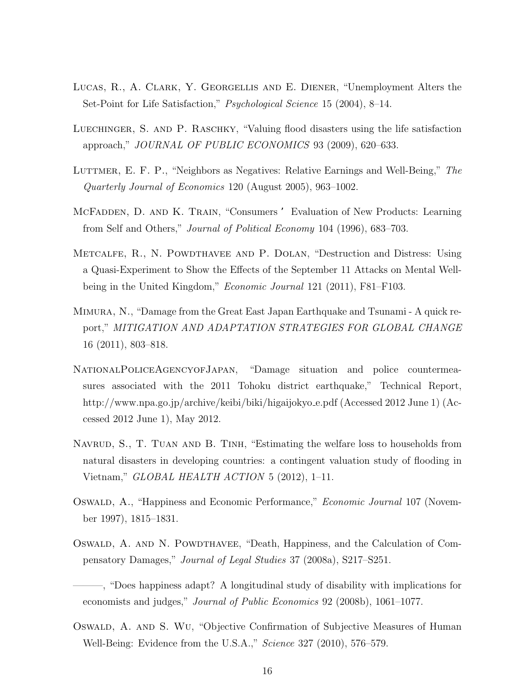- Lucas, R., A. Clark, Y. Georgellis and E. Diener, "Unemployment Alters the Set-Point for Life Satisfaction," *Psychological Science* 15 (2004), 8–14.
- LUECHINGER, S. AND P. RASCHKY, "Valuing flood disasters using the life satisfaction approach," *JOURNAL OF PUBLIC ECONOMICS* 93 (2009), 620–633.
- Luttmer, E. F. P., "Neighbors as Negatives: Relative Earnings and Well-Being," *The Quarterly Journal of Economics* 120 (August 2005), 963–1002.
- MCFADDEN, D. AND K. TRAIN, "Consumers ' Evaluation of New Products: Learning from Self and Others," *Journal of Political Economy* 104 (1996), 683–703.
- Metcalfe, R., N. Powdthavee and P. Dolan, "Destruction and Distress: Using a Quasi-Experiment to Show the Effects of the September 11 Attacks on Mental Wellbeing in the United Kingdom," *Economic Journal* 121 (2011), F81–F103.
- Mimura, N., "Damage from the Great East Japan Earthquake and Tsunami A quick report," *MITIGATION AND ADAPTATION STRATEGIES FOR GLOBAL CHANGE* 16 (2011), 803–818.
- NationalPoliceAgencyofJapan, "Damage situation and police countermeasures associated with the 2011 Tohoku district earthquake," Technical Report, http://www.npa.go.jp/archive/keibi/biki/higaijokyo e.pdf (Accessed 2012 June 1) (Accessed 2012 June 1), May 2012.
- NAVRUD, S., T. TUAN AND B. TINH, "Estimating the welfare loss to households from natural disasters in developing countries: a contingent valuation study of flooding in Vietnam," *GLOBAL HEALTH ACTION* 5 (2012), 1–11.
- Oswald, A., "Happiness and Economic Performance," *Economic Journal* 107 (November 1997), 1815–1831.
- Oswald, A. and N. Powdthavee, "Death, Happiness, and the Calculation of Compensatory Damages," *Journal of Legal Studies* 37 (2008a), S217–S251.

———, "Does happiness adapt? A longitudinal study of disability with implications for economists and judges," *Journal of Public Economics* 92 (2008b), 1061–1077.

Oswald, A. and S. Wu, "Objective Confirmation of Subjective Measures of Human Well-Being: Evidence from the U.S.A.," *Science* 327 (2010), 576–579.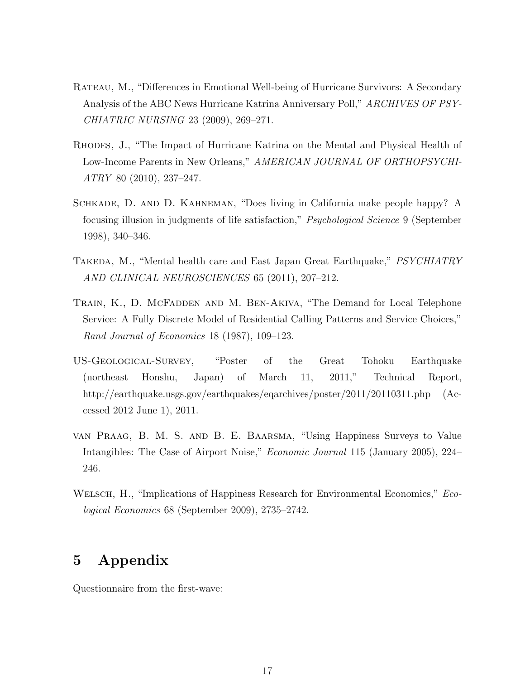- Rateau, M., "Differences in Emotional Well-being of Hurricane Survivors: A Secondary Analysis of the ABC News Hurricane Katrina Anniversary Poll," *ARCHIVES OF PSY-CHIATRIC NURSING* 23 (2009), 269–271.
- Rhodes, J., "The Impact of Hurricane Katrina on the Mental and Physical Health of Low-Income Parents in New Orleans," *AMERICAN JOURNAL OF ORTHOPSYCHI-ATRY* 80 (2010), 237–247.
- Schkade, D. and D. Kahneman, "Does living in California make people happy? A focusing illusion in judgments of life satisfaction," *Psychological Science* 9 (September 1998), 340–346.
- Takeda, M., "Mental health care and East Japan Great Earthquake," *PSYCHIATRY AND CLINICAL NEUROSCIENCES* 65 (2011), 207–212.
- TRAIN, K., D. MCFADDEN AND M. BEN-AKIVA, "The Demand for Local Telephone Service: A Fully Discrete Model of Residential Calling Patterns and Service Choices," *Rand Journal of Economics* 18 (1987), 109–123.
- US-Geological-Survey, "Poster of the Great Tohoku Earthquake (northeast Honshu, Japan) of March 11, 2011," Technical Report, http://earthquake.usgs.gov/earthquakes/eqarchives/poster/2011/20110311.php (Accessed 2012 June 1), 2011.
- van Praag, B. M. S. and B. E. Baarsma, "Using Happiness Surveys to Value Intangibles: The Case of Airport Noise," *Economic Journal* 115 (January 2005), 224– 246.
- Welsch, H., "Implications of Happiness Research for Environmental Economics," *Ecological Economics* 68 (September 2009), 2735–2742.

# **5 Appendix**

Questionnaire from the first-wave: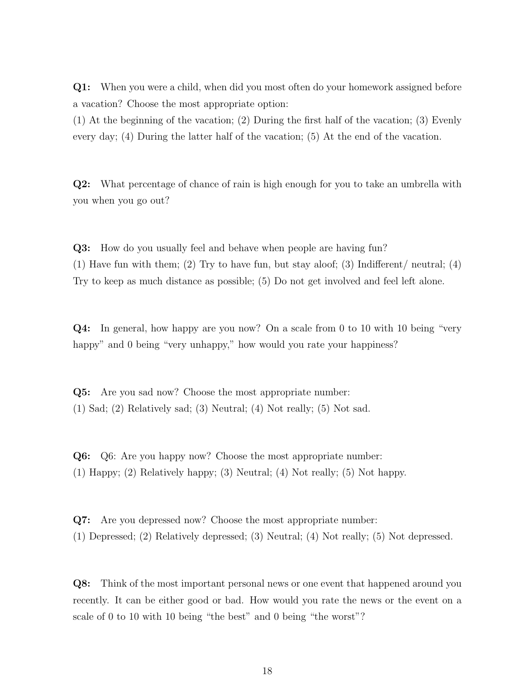**Q1:** When you were a child, when did you most often do your homework assigned before a vacation? Choose the most appropriate option:

(1) At the beginning of the vacation; (2) During the first half of the vacation; (3) Evenly every day; (4) During the latter half of the vacation; (5) At the end of the vacation.

**Q2:** What percentage of chance of rain is high enough for you to take an umbrella with you when you go out?

**Q3:** How do you usually feel and behave when people are having fun? (1) Have fun with them; (2) Try to have fun, but stay aloof; (3) Indifferent/ neutral; (4) Try to keep as much distance as possible; (5) Do not get involved and feel left alone.

**Q4:** In general, how happy are you now? On a scale from 0 to 10 with 10 being "very happy" and 0 being "very unhappy," how would you rate your happiness?

**Q5:** Are you sad now? Choose the most appropriate number: (1) Sad; (2) Relatively sad; (3) Neutral; (4) Not really; (5) Not sad.

**Q6:** Q6: Are you happy now? Choose the most appropriate number: (1) Happy; (2) Relatively happy; (3) Neutral; (4) Not really; (5) Not happy.

**Q7:** Are you depressed now? Choose the most appropriate number: (1) Depressed; (2) Relatively depressed; (3) Neutral; (4) Not really; (5) Not depressed.

**Q8:** Think of the most important personal news or one event that happened around you recently. It can be either good or bad. How would you rate the news or the event on a scale of 0 to 10 with 10 being "the best" and 0 being "the worst"?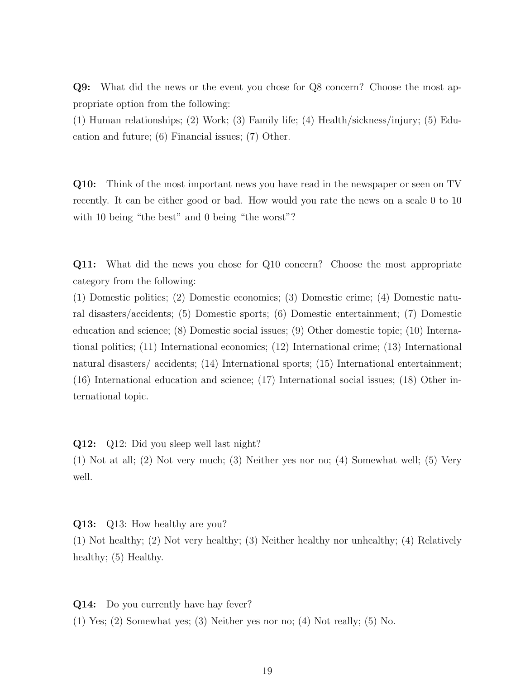**Q9:** What did the news or the event you chose for Q8 concern? Choose the most appropriate option from the following:

(1) Human relationships; (2) Work; (3) Family life; (4) Health/sickness/injury; (5) Education and future; (6) Financial issues; (7) Other.

**Q10:** Think of the most important news you have read in the newspaper or seen on TV recently. It can be either good or bad. How would you rate the news on a scale 0 to 10 with 10 being "the best" and 0 being "the worst"?

**Q11:** What did the news you chose for Q10 concern? Choose the most appropriate category from the following:

(1) Domestic politics; (2) Domestic economics; (3) Domestic crime; (4) Domestic natural disasters/accidents; (5) Domestic sports; (6) Domestic entertainment; (7) Domestic education and science; (8) Domestic social issues; (9) Other domestic topic; (10) International politics; (11) International economics; (12) International crime; (13) International natural disasters/ accidents; (14) International sports; (15) International entertainment; (16) International education and science; (17) International social issues; (18) Other international topic.

**Q12:** Q12: Did you sleep well last night?

(1) Not at all; (2) Not very much; (3) Neither yes nor no; (4) Somewhat well; (5) Very well.

**Q13:** Q13: How healthy are you?

(1) Not healthy; (2) Not very healthy; (3) Neither healthy nor unhealthy; (4) Relatively healthy;  $(5)$  Healthy.

**Q14:** Do you currently have hay fever?

(1) Yes; (2) Somewhat yes; (3) Neither yes nor no; (4) Not really; (5) No.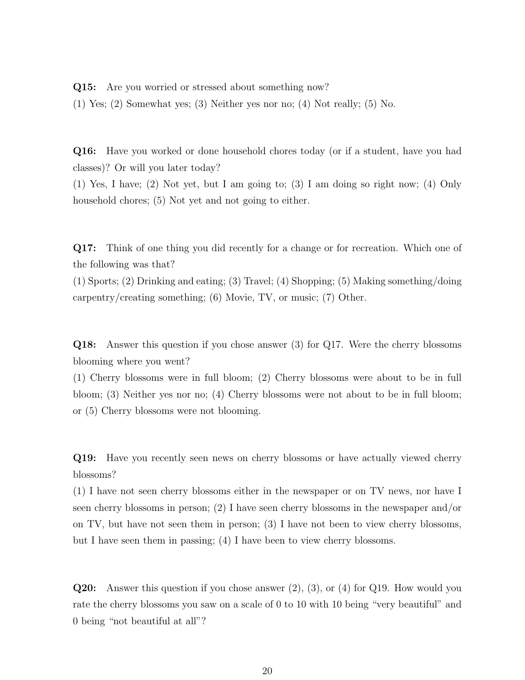**Q15:** Are you worried or stressed about something now?

(1) Yes; (2) Somewhat yes; (3) Neither yes nor no; (4) Not really; (5) No.

**Q16:** Have you worked or done household chores today (or if a student, have you had classes)? Or will you later today?

(1) Yes, I have; (2) Not yet, but I am going to; (3) I am doing so right now; (4) Only household chores; (5) Not yet and not going to either.

**Q17:** Think of one thing you did recently for a change or for recreation. Which one of the following was that?

(1) Sports; (2) Drinking and eating; (3) Travel; (4) Shopping; (5) Making something/doing carpentry/creating something; (6) Movie, TV, or music; (7) Other.

**Q18:** Answer this question if you chose answer (3) for Q17. Were the cherry blossoms blooming where you went?

(1) Cherry blossoms were in full bloom; (2) Cherry blossoms were about to be in full bloom; (3) Neither yes nor no; (4) Cherry blossoms were not about to be in full bloom; or (5) Cherry blossoms were not blooming.

**Q19:** Have you recently seen news on cherry blossoms or have actually viewed cherry blossoms?

(1) I have not seen cherry blossoms either in the newspaper or on TV news, nor have I seen cherry blossoms in person; (2) I have seen cherry blossoms in the newspaper and/or on TV, but have not seen them in person; (3) I have not been to view cherry blossoms, but I have seen them in passing; (4) I have been to view cherry blossoms.

**Q20:** Answer this question if you chose answer (2), (3), or (4) for Q19. How would you rate the cherry blossoms you saw on a scale of 0 to 10 with 10 being "very beautiful" and 0 being "not beautiful at all"?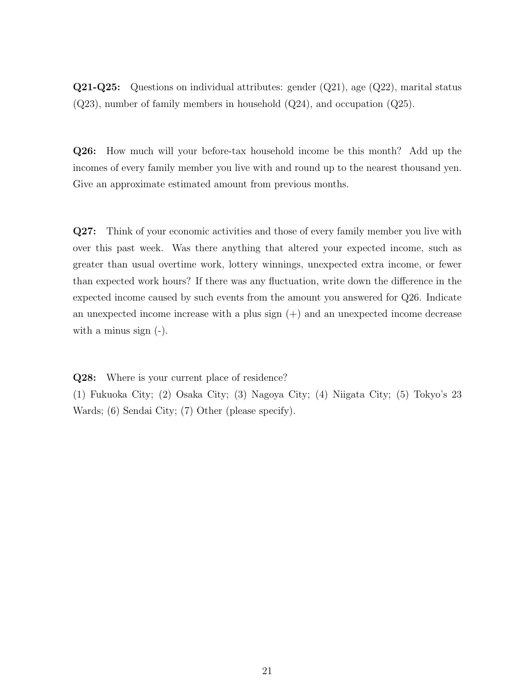**Q21-Q25:** Questions on individual attributes: gender (Q21), age (Q22), marital status  $(Q23)$ , number of family members in household  $(Q24)$ , and occupation  $(Q25)$ .

**Q26:** How much will your before-tax household income be this month? Add up the incomes of every family member you live with and round up to the nearest thousand yen. Give an approximate estimated amount from previous months.

**Q27:** Think of your economic activities and those of every family member you live with over this past week. Was there anything that altered your expected income, such as greater than usual overtime work, lottery winnings, unexpected extra income, or fewer than expected work hours? If there was any fluctuation, write down the difference in the expected income caused by such events from the amount you answered for Q26. Indicate an unexpected income increase with a plus sign  $(+)$  and an unexpected income decrease with a minus sign (-).

**Q28:** Where is your current place of residence?

(1) Fukuoka City; (2) Osaka City; (3) Nagoya City; (4) Niigata City; (5) Tokyo's 23 Wards; (6) Sendai City; (7) Other (please specify).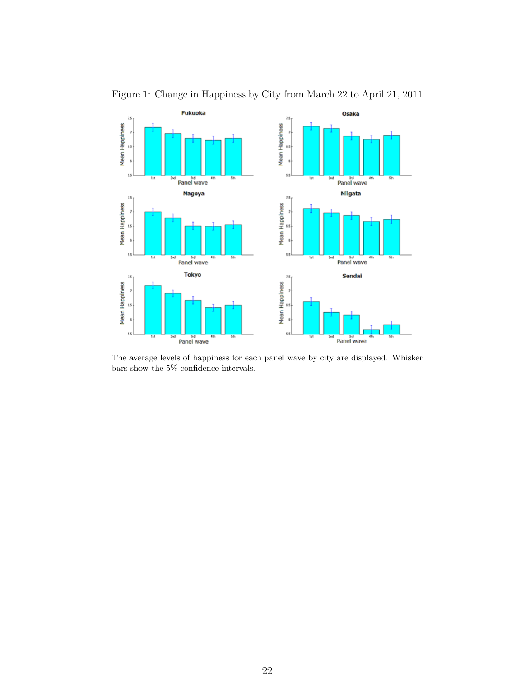

Figure 1: Change in Happiness by City from March 22 to April 21, 2011

The average levels of happiness for each panel wave by city are displayed. Whisker bars show the  $5\%$  confidence intervals.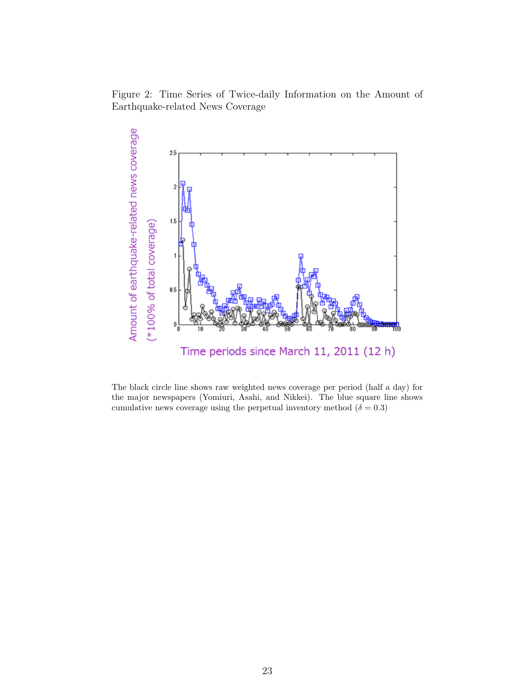Figure 2: Time Series of Twice-daily Information on the Amount of Earthquake-related News Coverage



The black circle line shows raw weighted news coverage per period (half a day) for the major newspapers (Yomiuri, Asahi, and Nikkei). The blue square line shows cumulative news coverage using the perpetual inventory method ( $\delta = 0.3$ )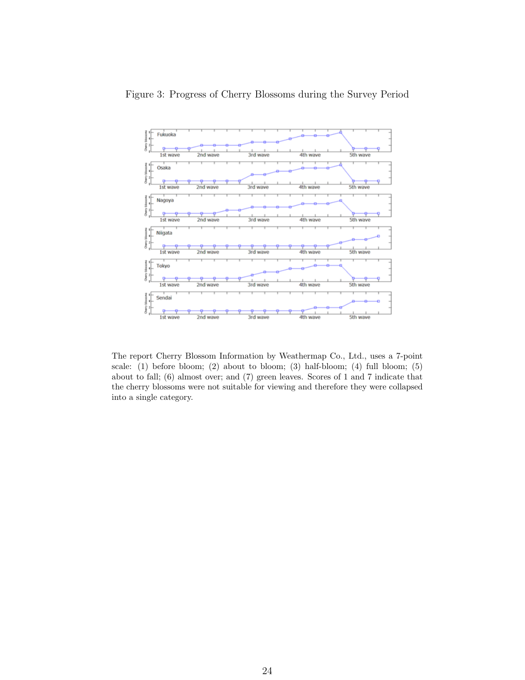

The report Cherry Blossom Information by Weathermap Co., Ltd., uses a 7-point scale:  $(1)$  before bloom;  $(2)$  about to bloom;  $(3)$  half-bloom;  $(4)$  full bloom;  $(5)$ about to fall; (6) almost over; and (7) green leaves. Scores of 1 and 7 indicate that the cherry blossoms were not suitable for viewing and therefore they were collapsed into a single category.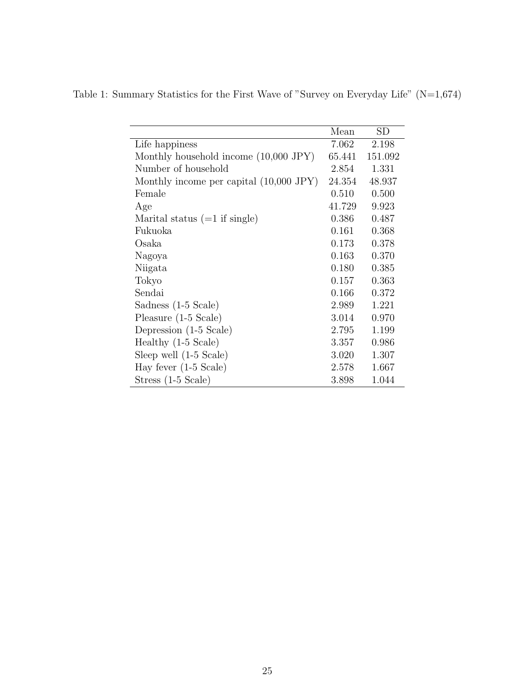|                                              | Mean   | <b>SD</b> |
|----------------------------------------------|--------|-----------|
| Life happiness                               | 7.062  | 2.198     |
| Monthly household income $(10,000$ JPY $)$   | 65.441 | 151.092   |
| Number of household                          | 2.854  | 1.331     |
| Monthly income per capital $(10,000$ JPY $)$ | 24.354 | 48.937    |
| Female                                       | 0.510  | 0.500     |
| Age                                          | 41.729 | 9.923     |
| Marital status $(=1$ if single)              | 0.386  | 0.487     |
| Fukuoka                                      | 0.161  | 0.368     |
| Osaka                                        | 0.173  | 0.378     |
| Nagoya                                       | 0.163  | 0.370     |
| Niigata                                      | 0.180  | 0.385     |
| Tokyo                                        | 0.157  | 0.363     |
| Sendai                                       | 0.166  | 0.372     |
| Sadness (1-5 Scale)                          | 2.989  | 1.221     |
| Pleasure $(1-5 \text{ Scale})$               | 3.014  | 0.970     |
| Depression (1-5 Scale)                       | 2.795  | 1.199     |
| Healthy $(1-5 \text{ Scale})$                | 3.357  | 0.986     |
| Sleep well $(1-5 \text{ Scale})$             | 3.020  | 1.307     |
| Hay fever $(1-5 \text{ Scale})$              | 2.578  | 1.667     |
| Stress (1-5 Scale)                           | 3.898  | 1.044     |

Table 1: Summary Statistics for the First Wave of "Survey on Everyday Life" (N=1,674)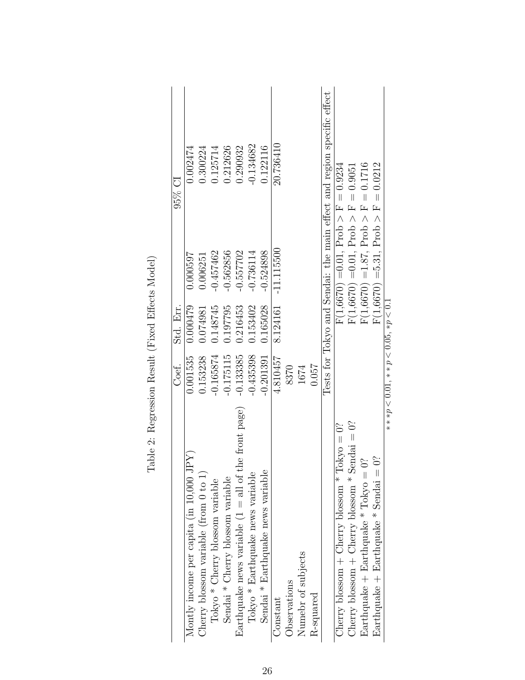|                                                                   | Coef.                                 | Std. Err. |                                           | $95\%$ Cl                                                              |
|-------------------------------------------------------------------|---------------------------------------|-----------|-------------------------------------------|------------------------------------------------------------------------|
| Montly income per capita (in 10,000 JPY)                          | 0.001535                              | 0.000479  | 0.000597                                  | 0.002474                                                               |
| Cherry blossom variable (from $0$ to $1$ )                        | 0.153238                              | 1.074981  | 0.006251                                  | 0.300224                                                               |
| Tokyo * Cherry blossom variable                                   | $-0.165874$                           | 1.148745  | 0.457462                                  | 0.125714                                                               |
| Sendai * Cherry blossom variable                                  | $-0.175115$                           | 1.97795   | 0.562856                                  | 0.212626                                                               |
| the front page)<br>Earthquake news variable $(1 = \text{all of }$ | $-0.133385$                           | 0.216453  | $-0.557702$                               | 0.290932                                                               |
| Tokyo * Earthquake news variable                                  | $-0.435398$                           | 0.153402  | $-0.736114$                               | $-0.134682$                                                            |
| Sendai * Earthquake news variable                                 | $-0.201391$                           | 0.165028  | $-0.524898$                               | 0.122116                                                               |
| Constant                                                          | 4.810457                              | 8.124161  | $-11.115500$                              | 20.736410                                                              |
| Observations                                                      | 8370                                  |           |                                           |                                                                        |
| Numebr of subjects                                                | 1674                                  |           |                                           |                                                                        |
| R-squared                                                         | 0.057                                 |           |                                           |                                                                        |
|                                                                   |                                       |           |                                           | Tests for Tokyo and Sendai: the main effect and region specific effect |
| Cherry blossom + Cherry blossom * Tokyo = $0$ ?                   |                                       |           | $F(1,6670) = 0.01,$ Prob $>$ F $= 0.9234$ |                                                                        |
| Cherry blossom + Cherry blossom * Sendai = $0$ ?                  |                                       |           | $F(1,6670) = 0.01,$ Prob $> F = 0.9051$   |                                                                        |
| δ,<br>Earthquake + Earthquake $*$ Tokyo =                         |                                       |           | $F(1,6670) = 1.87$ , Prob > F = 0.1716    |                                                                        |
| $\Im$<br>Earthquake + Earthquake $*$ Sendai =                     |                                       |           | $F(1,6670) = 5.31$ , $Prob > F = 0.0212$  |                                                                        |
|                                                                   | $* * p < 0.01, * p < 0.05, * p < 0.1$ |           |                                           |                                                                        |

Table 2: Regression Result (Fixed Effects Model) Table 2: Regression Result (Fixed Effects Model)